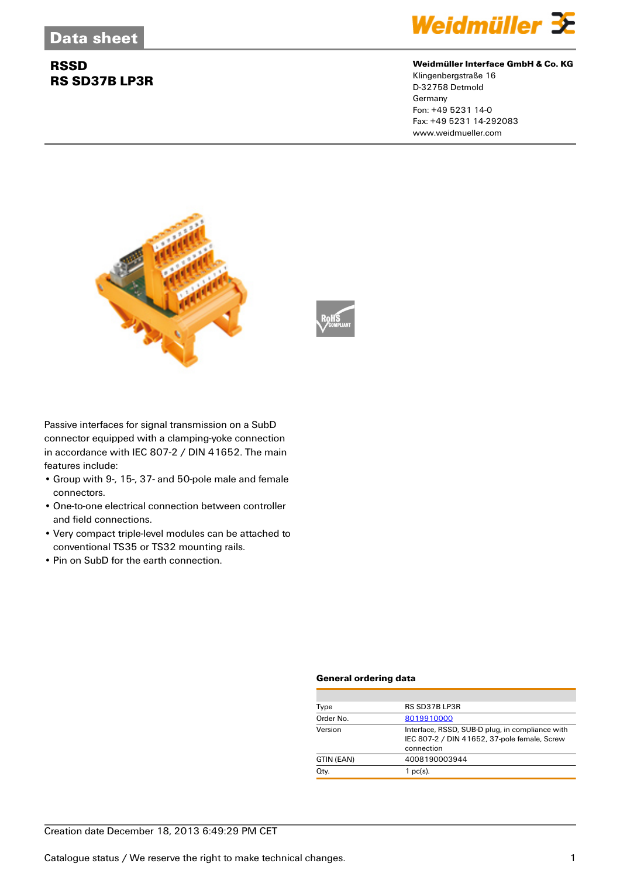## **RSSD RS SD37B LP3R**



#### **Weidmüller Interface GmbH & Co. KG**

Klingenbergstraße 16 D-32758 Detmold Germany Fon: +49 5231 14-0 Fax: +49 5231 14-292083 www.weidmueller.com





Passive interfaces for signal transmission on a SubD connector equipped with a clamping-yoke connection in accordance with IEC 807-2 / DIN 41652. The main features include:

- Group with 9-, 15-, 37- and 50-pole male and female connectors.
- One-to-one electrical connection between controller and field connections.
- Very compact triple-level modules can be attached to conventional TS35 or TS32 mounting rails.
- Pin on SubD for the earth connection.

#### **General ordering data**

| Type       | RS SD37B LP3R                                                                                                 |
|------------|---------------------------------------------------------------------------------------------------------------|
| Order No.  | 8019910000                                                                                                    |
| Version    | Interface, RSSD, SUB-D plug, in compliance with<br>IEC 807-2 / DIN 41652, 37-pole female, Screw<br>connection |
| GTIN (EAN) | 4008190003944                                                                                                 |
| Qty.       | $1$ pc(s).                                                                                                    |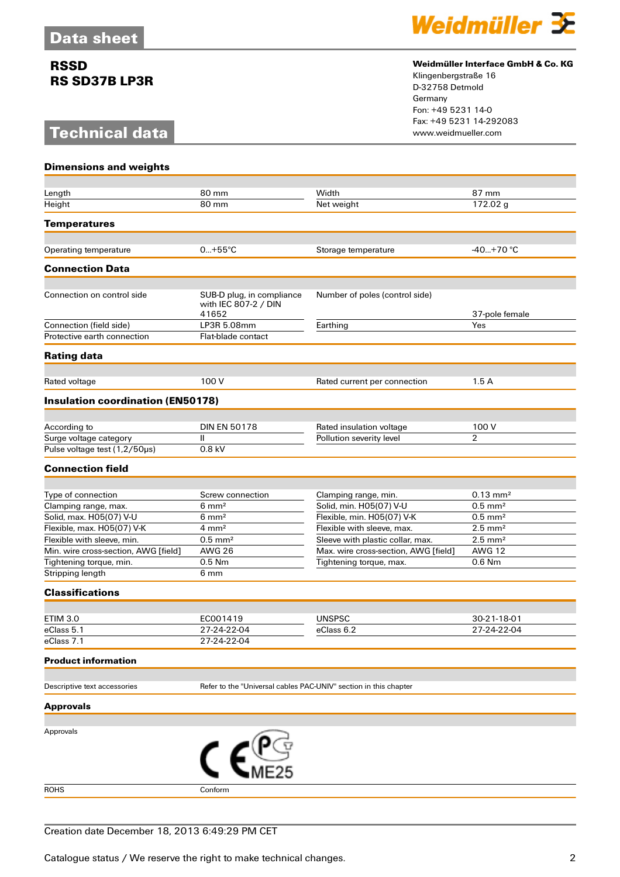## **RSSD RS SD37B LP3R**

# **Technical data**



#### **Weidmüller Interface GmbH & Co. KG**

Klingenbergstraße 16 D-32758 Detmold Germany Fon: +49 5231 14-0 Fax: +49 5231 14-292083

| <b>Dimensions and weights</b>                                   |                                                                  |                                                                 |                           |
|-----------------------------------------------------------------|------------------------------------------------------------------|-----------------------------------------------------------------|---------------------------|
|                                                                 |                                                                  |                                                                 |                           |
| Length                                                          | 80 mm                                                            | Width                                                           | 87 mm                     |
| Height                                                          | 80 mm                                                            | Net weight                                                      | 172.02 g                  |
| <b>Temperatures</b>                                             |                                                                  |                                                                 |                           |
|                                                                 |                                                                  |                                                                 |                           |
| Operating temperature                                           | $0+55^{\circ}C$                                                  | Storage temperature                                             | $-40+70$ °C               |
| <b>Connection Data</b>                                          |                                                                  |                                                                 |                           |
| Connection on control side                                      | SUB-D plug, in compliance<br>with IEC 807-2 / DIN<br>41652       | Number of poles (control side)                                  | 37-pole female            |
| Connection (field side)                                         | LP3R 5.08mm                                                      | Earthing                                                        | Yes                       |
| Protective earth connection                                     | Flat-blade contact                                               |                                                                 |                           |
| <b>Rating data</b>                                              |                                                                  |                                                                 |                           |
|                                                                 |                                                                  |                                                                 |                           |
| Rated voltage                                                   | 100 V                                                            | Rated current per connection                                    | 1.5A                      |
| <b>Insulation coordination (EN50178)</b>                        |                                                                  |                                                                 |                           |
| According to                                                    | <b>DIN EN 50178</b>                                              | Rated insulation voltage                                        | 100 V                     |
| Surge voltage category                                          | Ш                                                                | Pollution severity level                                        | $\overline{2}$            |
| Pulse voltage test (1,2/50µs)                                   | 0.8 kV                                                           |                                                                 |                           |
| <b>Connection field</b>                                         |                                                                  |                                                                 |                           |
|                                                                 |                                                                  |                                                                 |                           |
| Type of connection                                              | Screw connection                                                 | Clamping range, min.                                            | $0.13 \text{ mm}^2$       |
| Clamping range, max.                                            | $6 \text{ mm}^2$                                                 | Solid, min. H05(07) V-U                                         | $0.5$ mm <sup>2</sup>     |
| Solid, max. H05(07) V-U                                         | $6 \, \text{mm}^2$                                               | Flexible, min. H05(07) V-K                                      | $0.5$ mm <sup>2</sup>     |
| Flexible, max. H05(07) V-K                                      | $4 \text{ mm}^2$                                                 | Flexible with sleeve, max.                                      | $2.5 \text{ mm}^2$        |
| Flexible with sleeve, min.                                      | $0.5$ mm <sup>2</sup>                                            | Sleeve with plastic collar, max.                                | $2.5$ mm <sup>2</sup>     |
| Min. wire cross-section, AWG [field]<br>Tightening torque, min. | <b>AWG 26</b><br>0.5 Nm                                          | Max. wire cross-section, AWG [field]<br>Tightening torque, max. | <b>AWG 12</b><br>$0.6$ Nm |
| Stripping length                                                | 6 mm                                                             |                                                                 |                           |
| <b>Classifications</b>                                          |                                                                  |                                                                 |                           |
|                                                                 |                                                                  |                                                                 |                           |
| <b>ETIM 3.0</b>                                                 | EC001419                                                         | <b>UNSPSC</b>                                                   | 30-21-18-01               |
| eClass 5.1                                                      | 27-24-22-04                                                      | eClass 6.2                                                      | 27-24-22-04               |
| eClass 7.1                                                      | 27-24-22-04                                                      |                                                                 |                           |
| <b>Product information</b>                                      |                                                                  |                                                                 |                           |
| Descriptive text accessories                                    | Refer to the "Universal cables PAC-UNIV" section in this chapter |                                                                 |                           |
|                                                                 |                                                                  |                                                                 |                           |
| <b>Approvals</b>                                                |                                                                  |                                                                 |                           |
| Approvals                                                       |                                                                  |                                                                 |                           |
|                                                                 |                                                                  |                                                                 |                           |
|                                                                 |                                                                  |                                                                 |                           |
| <b>ROHS</b>                                                     | Conform                                                          |                                                                 |                           |
|                                                                 |                                                                  |                                                                 |                           |
|                                                                 |                                                                  |                                                                 |                           |

### Creation date December 18, 2013 6:49:29 PM CET

Catalogue status / We reserve the right to make technical changes. 2